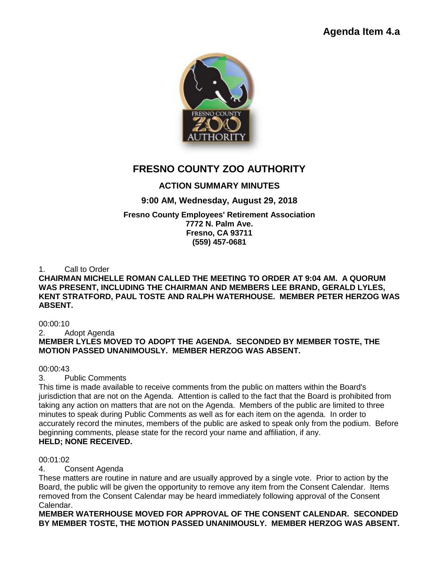

# **FRESNO COUNTY ZOO AUTHORITY**

# **ACTION SUMMARY MINUTES**

# **9:00 AM, Wednesday, August 29, 2018**

# **Fresno County Employees' Retirement Association**

**7772 N. Palm Ave. Fresno, CA 93711 (559) 457-0681**

1. Call to Order

### **CHAIRMAN MICHELLE ROMAN CALLED THE MEETING TO ORDER AT 9:04 AM. A QUORUM WAS PRESENT, INCLUDING THE CHAIRMAN AND MEMBERS LEE BRAND, GERALD LYLES, KENT STRATFORD, PAUL TOSTE AND RALPH WATERHOUSE. MEMBER PETER HERZOG WAS ABSENT.**

00:00:10

2. Adopt Agenda

# **MEMBER LYLES MOVED TO ADOPT THE AGENDA. SECONDED BY MEMBER TOSTE, THE MOTION PASSED UNANIMOUSLY. MEMBER HERZOG WAS ABSENT.**

00:00:43

3. Public Comments

This time is made available to receive comments from the public on matters within the Board's jurisdiction that are not on the Agenda. Attention is called to the fact that the Board is prohibited from taking any action on matters that are not on the Agenda. Members of the public are limited to three minutes to speak during Public Comments as well as for each item on the agenda. In order to accurately record the minutes, members of the public are asked to speak only from the podium. Before beginning comments, please state for the record your name and affiliation, if any. **HELD; NONE RECEIVED.**

# 00:01:02

4. Consent Agenda

These matters are routine in nature and are usually approved by a single vote. Prior to action by the Board, the public will be given the opportunity to remove any item from the Consent Calendar. Items removed from the Consent Calendar may be heard immediately following approval of the Consent Calendar.

**MEMBER WATERHOUSE MOVED FOR APPROVAL OF THE CONSENT CALENDAR. SECONDED BY MEMBER TOSTE, THE MOTION PASSED UNANIMOUSLY. MEMBER HERZOG WAS ABSENT.**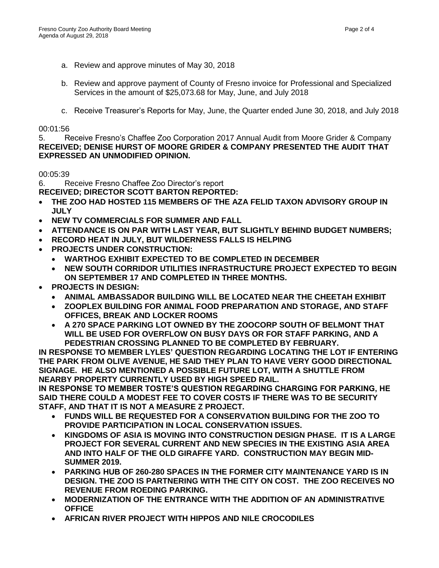- a. Review and approve minutes of May 30, 2018
- b. Review and approve payment of County of Fresno invoice for Professional and Specialized Services in the amount of \$25,073.68 for May, June, and July 2018
- c. Receive Treasurer's Reports for May, June, the Quarter ended June 30, 2018, and July 2018

#### 00:01:56

5. Receive Fresno's Chaffee Zoo Corporation 2017 Annual Audit from Moore Grider & Company **RECEIVED; DENISE HURST OF MOORE GRIDER & COMPANY PRESENTED THE AUDIT THAT EXPRESSED AN UNMODIFIED OPINION.**

#### 00:05:39

6. Receive Fresno Chaffee Zoo Director's report

**RECEIVED; DIRECTOR SCOTT BARTON REPORTED:**

- **THE ZOO HAD HOSTED 115 MEMBERS OF THE AZA FELID TAXON ADVISORY GROUP IN JULY**
- **NEW TV COMMERCIALS FOR SUMMER AND FALL**
- **ATTENDANCE IS ON PAR WITH LAST YEAR, BUT SLIGHTLY BEHIND BUDGET NUMBERS;**
- **RECORD HEAT IN JULY, BUT WILDERNESS FALLS IS HELPING**
- **PROJECTS UNDER CONSTRUCTION:** 
	- **WARTHOG EXHIBIT EXPECTED TO BE COMPLETED IN DECEMBER**
	- **NEW SOUTH CORRIDOR UTILITIES INFRASTRUCTURE PROJECT EXPECTED TO BEGIN ON SEPTEMBER 17 AND COMPLETED IN THREE MONTHS.**
- **PROJECTS IN DESIGN:** 
	- **ANIMAL AMBASSADOR BUILDING WILL BE LOCATED NEAR THE CHEETAH EXHIBIT**
	- **ZOOPLEX BUILDING FOR ANIMAL FOOD PREPARATION AND STORAGE, AND STAFF OFFICES, BREAK AND LOCKER ROOMS**
	- **A 270 SPACE PARKING LOT OWNED BY THE ZOOCORP SOUTH OF BELMONT THAT WILL BE USED FOR OVERFLOW ON BUSY DAYS OR FOR STAFF PARKING, AND A PEDESTRIAN CROSSING PLANNED TO BE COMPLETED BY FEBRUARY.**

**IN RESPONSE TO MEMBER LYLES' QUESTION REGARDING LOCATING THE LOT IF ENTERING THE PARK FROM OLIVE AVENUE, HE SAID THEY PLAN TO HAVE VERY GOOD DIRECTIONAL SIGNAGE. HE ALSO MENTIONED A POSSIBLE FUTURE LOT, WITH A SHUTTLE FROM NEARBY PROPERTY CURRENTLY USED BY HIGH SPEED RAIL.** 

**IN RESPONSE TO MEMBER TOSTE'S QUESTION REGARDING CHARGING FOR PARKING, HE SAID THERE COULD A MODEST FEE TO COVER COSTS IF THERE WAS TO BE SECURITY STAFF, AND THAT IT IS NOT A MEASURE Z PROJECT.** 

- **FUNDS WILL BE REQUESTED FOR A CONSERVATION BUILDING FOR THE ZOO TO PROVIDE PARTICIPATION IN LOCAL CONSERVATION ISSUES.**
- **KINGDOMS OF ASIA IS MOVING INTO CONSTRUCTION DESIGN PHASE. IT IS A LARGE PROJECT FOR SEVERAL CURRENT AND NEW SPECIES IN THE EXISTING ASIA AREA AND INTO HALF OF THE OLD GIRAFFE YARD. CONSTRUCTION MAY BEGIN MID-SUMMER 2019.**
- **PARKING HUB OF 260-280 SPACES IN THE FORMER CITY MAINTENANCE YARD IS IN DESIGN. THE ZOO IS PARTNERING WITH THE CITY ON COST. THE ZOO RECEIVES NO REVENUE FROM ROEDING PARKING.**
- **MODERNIZATION OF THE ENTRANCE WITH THE ADDITION OF AN ADMINISTRATIVE OFFICE**
- **AFRICAN RIVER PROJECT WITH HIPPOS AND NILE CROCODILES**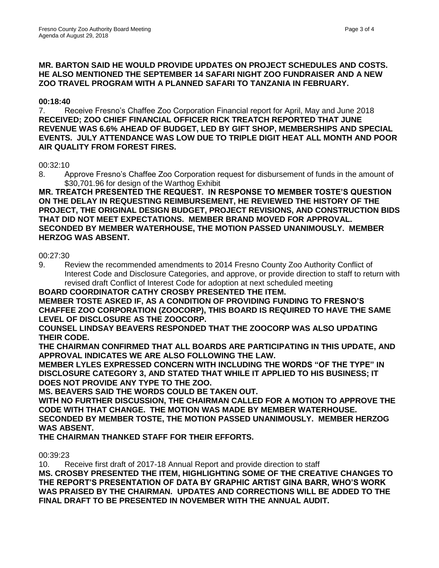#### **MR. BARTON SAID HE WOULD PROVIDE UPDATES ON PROJECT SCHEDULES AND COSTS. HE ALSO MENTIONED THE SEPTEMBER 14 SAFARI NIGHT ZOO FUNDRAISER AND A NEW ZOO TRAVEL PROGRAM WITH A PLANNED SAFARI TO TANZANIA IN FEBRUARY.**

## **00:18:40**

7. Receive Fresno's Chaffee Zoo Corporation Financial report for April, May and June 2018 **RECEIVED; ZOO CHIEF FINANCIAL OFFICER RICK TREATCH REPORTED THAT JUNE REVENUE WAS 6.6% AHEAD OF BUDGET, LED BY GIFT SHOP, MEMBERSHIPS AND SPECIAL EVENTS. JULY ATTENDANCE WAS LOW DUE TO TRIPLE DIGIT HEAT ALL MONTH AND POOR AIR QUALITY FROM FOREST FIRES.** 

#### 00:32:10

8. Approve Fresno's Chaffee Zoo Corporation request for disbursement of funds in the amount of \$30,701.96 for design of the Warthog Exhibit

**MR. TREATCH PRESENTED THE REQUEST. IN RESPONSE TO MEMBER TOSTE'S QUESTION ON THE DELAY IN REQUESTING REIMBURSEMENT, HE REVIEWED THE HISTORY OF THE PROJECT, THE ORIGINAL DESIGN BUDGET, PROJECT REVISIONS, AND CONSTRUCTION BIDS THAT DID NOT MEET EXPECTATIONS. MEMBER BRAND MOVED FOR APPROVAL. SECONDED BY MEMBER WATERHOUSE, THE MOTION PASSED UNANIMOUSLY. MEMBER HERZOG WAS ABSENT.**

#### 00:27:30

9. Review the recommended amendments to 2014 Fresno County Zoo Authority Conflict of Interest Code and Disclosure Categories, and approve, or provide direction to staff to return with revised draft Conflict of Interest Code for adoption at next scheduled meeting

**BOARD COORDINATOR CATHY CROSBY PRESENTED THE ITEM. MEMBER TOSTE ASKED IF, AS A CONDITION OF PROVIDING FUNDING TO FRESNO'S CHAFFEE ZOO CORPORATION (ZOOCORP), THIS BOARD IS REQUIRED TO HAVE THE SAME LEVEL OF DISCLOSURE AS THE ZOOCORP.** 

**COUNSEL LINDSAY BEAVERS RESPONDED THAT THE ZOOCORP WAS ALSO UPDATING THEIR CODE.** 

**THE CHAIRMAN CONFIRMED THAT ALL BOARDS ARE PARTICIPATING IN THIS UPDATE, AND APPROVAL INDICATES WE ARE ALSO FOLLOWING THE LAW.** 

**MEMBER LYLES EXPRESSED CONCERN WITH INCLUDING THE WORDS "OF THE TYPE" IN DISCLOSURE CATEGORY 3, AND STATED THAT WHILE IT APPLIED TO HIS BUSINESS; IT DOES NOT PROVIDE ANY TYPE TO THE ZOO.**

**MS. BEAVERS SAID THE WORDS COULD BE TAKEN OUT.** 

**WITH NO FURTHER DISCUSSION, THE CHAIRMAN CALLED FOR A MOTION TO APPROVE THE CODE WITH THAT CHANGE. THE MOTION WAS MADE BY MEMBER WATERHOUSE. SECONDED BY MEMBER TOSTE, THE MOTION PASSED UNANIMOUSLY. MEMBER HERZOG WAS ABSENT.** 

**THE CHAIRMAN THANKED STAFF FOR THEIR EFFORTS.**

00:39:23

10. Receive first draft of 2017-18 Annual Report and provide direction to staff **MS. CROSBY PRESENTED THE ITEM, HIGHLIGHTING SOME OF THE CREATIVE CHANGES TO THE REPORT'S PRESENTATION OF DATA BY GRAPHIC ARTIST GINA BARR, WHO'S WORK WAS PRAISED BY THE CHAIRMAN. UPDATES AND CORRECTIONS WILL BE ADDED TO THE FINAL DRAFT TO BE PRESENTED IN NOVEMBER WITH THE ANNUAL AUDIT.**